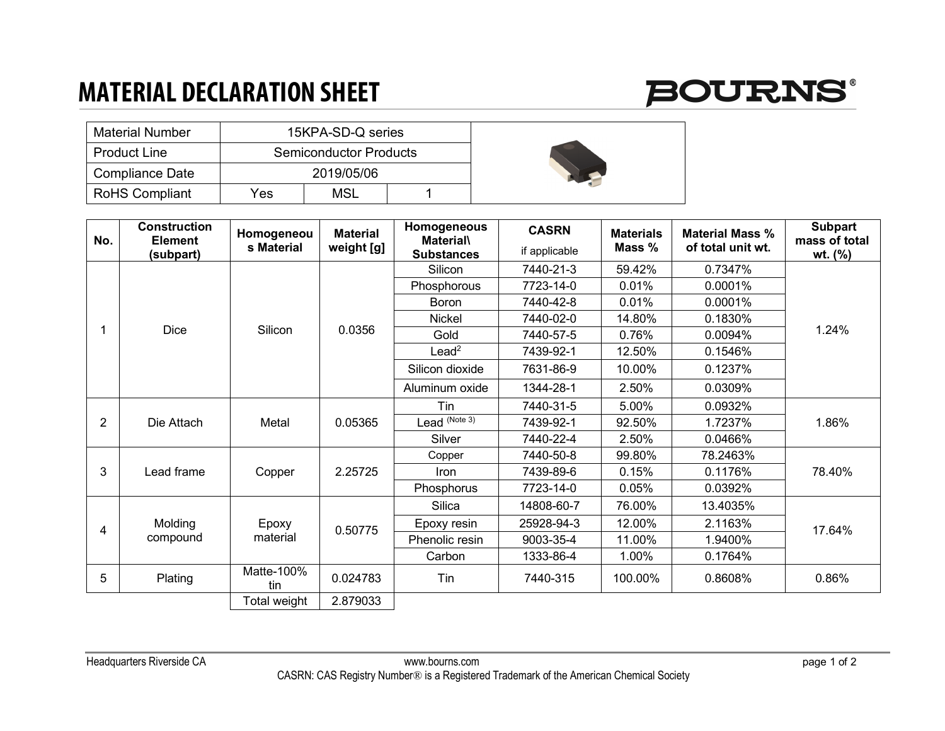## **MATERIAL DECLARATION SHEET**



| <b>Material Number</b> |     | 15KPA-SD-Q series             |  |  |
|------------------------|-----|-------------------------------|--|--|
| <b>Product Line</b>    |     | <b>Semiconductor Products</b> |  |  |
| Compliance Date        |     | 2019/05/06                    |  |  |
| <b>RoHS Compliant</b>  | Yes | MSL                           |  |  |

| No.            | <b>Construction</b><br><b>Element</b><br>(subpart) | Homogeneou<br>s Material | <b>Material</b><br>weight [g] | Homogeneous<br><b>Material\</b><br><b>Substances</b> | <b>CASRN</b><br>if applicable | <b>Materials</b><br>Mass $%$ | <b>Material Mass %</b><br>of total unit wt. | <b>Subpart</b><br>mass of total<br>$wt.$ (%) |
|----------------|----------------------------------------------------|--------------------------|-------------------------------|------------------------------------------------------|-------------------------------|------------------------------|---------------------------------------------|----------------------------------------------|
|                | <b>Dice</b>                                        | Silicon                  | 0.0356                        | Silicon                                              | 7440-21-3                     | 59.42%                       | 0.7347%                                     | 1.24%                                        |
|                |                                                    |                          |                               | Phosphorous                                          | 7723-14-0                     | 0.01%                        | 0.0001%                                     |                                              |
|                |                                                    |                          |                               | <b>Boron</b>                                         | 7440-42-8                     | 0.01%                        | 0.0001%                                     |                                              |
|                |                                                    |                          |                               | <b>Nickel</b>                                        | 7440-02-0                     | 14.80%                       | 0.1830%                                     |                                              |
|                |                                                    |                          |                               | Gold                                                 | 7440-57-5                     | 0.76%                        | 0.0094%                                     |                                              |
|                |                                                    |                          |                               | $L$ ead <sup>2</sup>                                 | 7439-92-1                     | 12.50%                       | 0.1546%                                     |                                              |
|                |                                                    |                          |                               | Silicon dioxide                                      | 7631-86-9                     | 10.00%                       | 0.1237%                                     |                                              |
|                |                                                    |                          |                               | Aluminum oxide                                       | 1344-28-1                     | 2.50%                        | 0.0309%                                     |                                              |
| $\overline{2}$ | Die Attach                                         | Metal                    | 0.05365                       | Tin                                                  | 7440-31-5                     | 5.00%                        | 0.0932%                                     | 1.86%                                        |
|                |                                                    |                          |                               | Lead (Note 3)                                        | 7439-92-1                     | 92.50%                       | 1.7237%                                     |                                              |
|                |                                                    |                          |                               | Silver                                               | 7440-22-4                     | 2.50%                        | 0.0466%                                     |                                              |
| 3              | Lead frame                                         | Copper                   | 2.25725                       | Copper                                               | 7440-50-8                     | 99.80%                       | 78.2463%                                    | 78.40%                                       |
|                |                                                    |                          |                               | Iron                                                 | 7439-89-6                     | 0.15%                        | 0.1176%                                     |                                              |
|                |                                                    |                          |                               | Phosphorus                                           | 7723-14-0                     | 0.05%                        | 0.0392%                                     |                                              |
| 4              | Molding<br>compound                                | Epoxy<br>material        | 0.50775                       | Silica                                               | 14808-60-7                    | 76.00%                       | 13.4035%                                    | 17.64%                                       |
|                |                                                    |                          |                               | Epoxy resin                                          | 25928-94-3                    | 12.00%                       | 2.1163%                                     |                                              |
|                |                                                    |                          |                               | Phenolic resin                                       | 9003-35-4                     | 11.00%                       | 1.9400%                                     |                                              |
|                |                                                    |                          |                               | Carbon                                               | 1333-86-4                     | 1.00%                        | 0.1764%                                     |                                              |
| 5              | Plating                                            | Matte-100%<br>tin        | 0.024783                      | Tin                                                  | 7440-315                      | 100.00%                      | 0.8608%                                     | 0.86%                                        |
|                |                                                    | Total weight             | 2.879033                      |                                                      |                               |                              |                                             |                                              |